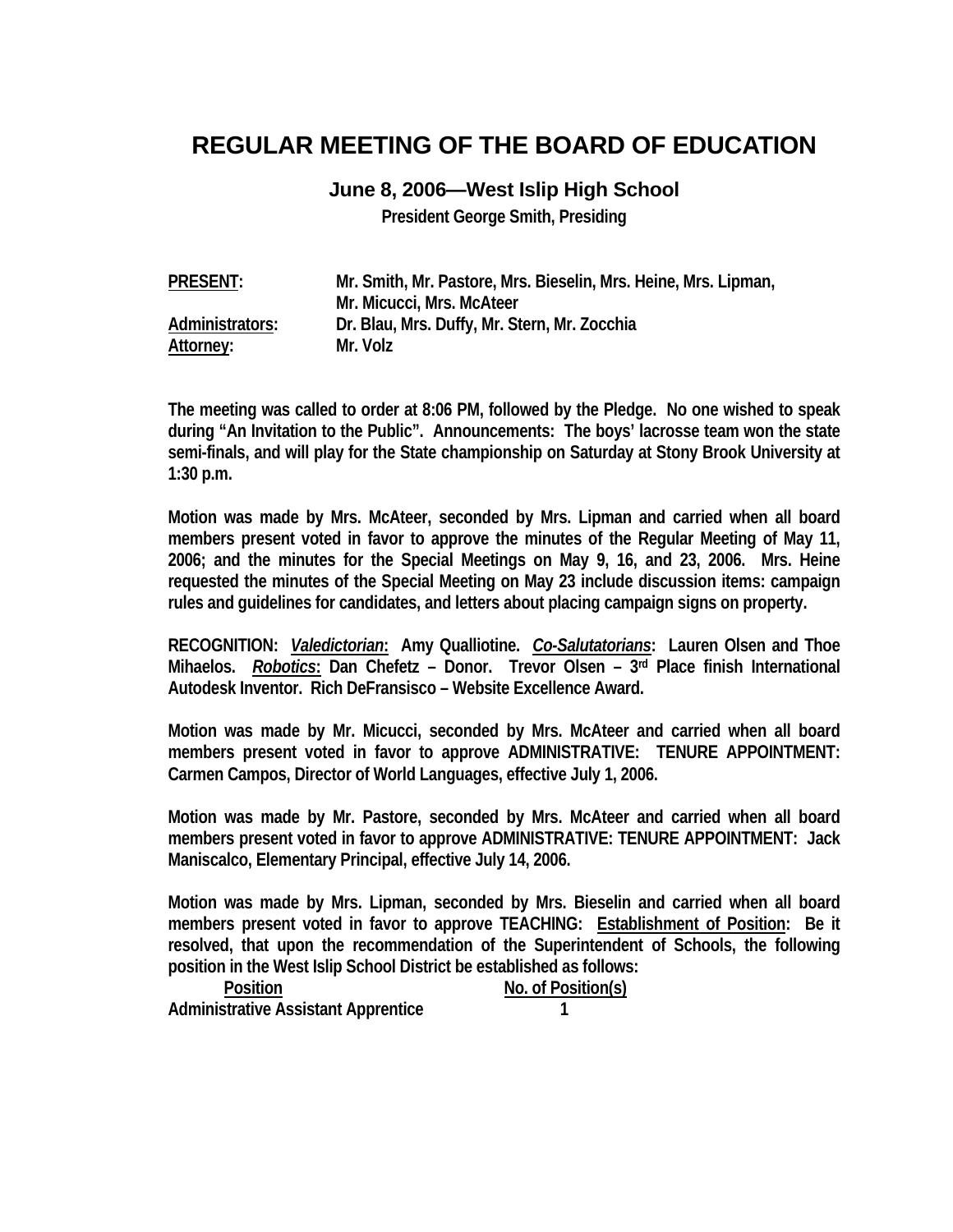## **REGULAR MEETING OF THE BOARD OF EDUCATION**

## **June 8, 2006—West Islip High School**

**President George Smith, Presiding** 

| <b>PRESENT:</b> | Mr. Smith, Mr. Pastore, Mrs. Bieselin, Mrs. Heine, Mrs. Lipman, |
|-----------------|-----------------------------------------------------------------|
|                 | Mr. Micucci, Mrs. McAteer                                       |
| Administrators: | Dr. Blau, Mrs. Duffy, Mr. Stern, Mr. Zocchia                    |
| Attorney:       | Mr. Volz                                                        |

**The meeting was called to order at 8:06 PM, followed by the Pledge. No one wished to speak during "An Invitation to the Public". Announcements: The boys' lacrosse team won the state semi-finals, and will play for the State championship on Saturday at Stony Brook University at 1:30 p.m.** 

**Motion was made by Mrs. McAteer, seconded by Mrs. Lipman and carried when all board members present voted in favor to approve the minutes of the Regular Meeting of May 11, 2006; and the minutes for the Special Meetings on May 9, 16, and 23, 2006. Mrs. Heine requested the minutes of the Special Meeting on May 23 include discussion items: campaign rules and guidelines for candidates, and letters about placing campaign signs on property.** 

**RECOGNITION:** *Valedictorian***: Amy Qualliotine.** *Co-Salutatorians***: Lauren Olsen and Thoe Mihaelos.** *Robotics***: Dan Chefetz – Donor. Trevor Olsen – 3rd Place finish International Autodesk Inventor. Rich DeFransisco – Website Excellence Award.** 

**Motion was made by Mr. Micucci, seconded by Mrs. McAteer and carried when all board members present voted in favor to approve ADMINISTRATIVE: TENURE APPOINTMENT: Carmen Campos, Director of World Languages, effective July 1, 2006.** 

**Motion was made by Mr. Pastore, seconded by Mrs. McAteer and carried when all board members present voted in favor to approve ADMINISTRATIVE: TENURE APPOINTMENT: Jack Maniscalco, Elementary Principal, effective July 14, 2006.** 

**Motion was made by Mrs. Lipman, seconded by Mrs. Bieselin and carried when all board members present voted in favor to approve TEACHING: Establishment of Position: Be it resolved, that upon the recommendation of the Superintendent of Schools, the following position in the West Islip School District be established as follows:** 

| <b>Position</b>                            | No. of Position(s) |
|--------------------------------------------|--------------------|
| <b>Administrative Assistant Apprentice</b> |                    |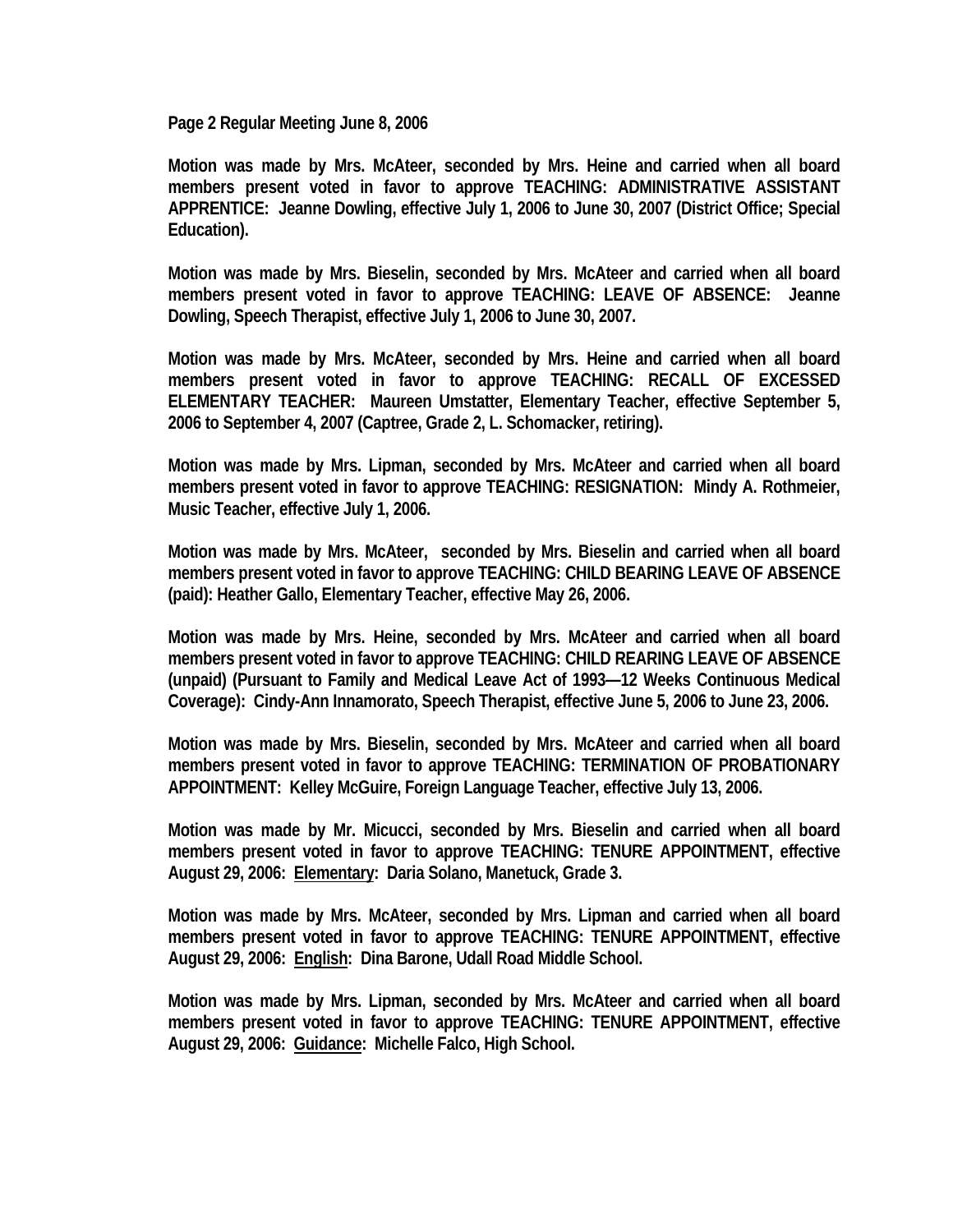**Page 2 Regular Meeting June 8, 2006** 

**Motion was made by Mrs. McAteer, seconded by Mrs. Heine and carried when all board members present voted in favor to approve TEACHING: ADMINISTRATIVE ASSISTANT APPRENTICE: Jeanne Dowling, effective July 1, 2006 to June 30, 2007 (District Office; Special Education).** 

**Motion was made by Mrs. Bieselin, seconded by Mrs. McAteer and carried when all board members present voted in favor to approve TEACHING: LEAVE OF ABSENCE: Jeanne Dowling, Speech Therapist, effective July 1, 2006 to June 30, 2007.** 

**Motion was made by Mrs. McAteer, seconded by Mrs. Heine and carried when all board members present voted in favor to approve TEACHING: RECALL OF EXCESSED ELEMENTARY TEACHER: Maureen Umstatter, Elementary Teacher, effective September 5, 2006 to September 4, 2007 (Captree, Grade 2, L. Schomacker, retiring).** 

**Motion was made by Mrs. Lipman, seconded by Mrs. McAteer and carried when all board members present voted in favor to approve TEACHING: RESIGNATION: Mindy A. Rothmeier, Music Teacher, effective July 1, 2006.** 

**Motion was made by Mrs. McAteer, seconded by Mrs. Bieselin and carried when all board members present voted in favor to approve TEACHING: CHILD BEARING LEAVE OF ABSENCE (paid): Heather Gallo, Elementary Teacher, effective May 26, 2006.** 

**Motion was made by Mrs. Heine, seconded by Mrs. McAteer and carried when all board members present voted in favor to approve TEACHING: CHILD REARING LEAVE OF ABSENCE (unpaid) (Pursuant to Family and Medical Leave Act of 1993—12 Weeks Continuous Medical Coverage): Cindy-Ann Innamorato, Speech Therapist, effective June 5, 2006 to June 23, 2006.** 

**Motion was made by Mrs. Bieselin, seconded by Mrs. McAteer and carried when all board members present voted in favor to approve TEACHING: TERMINATION OF PROBATIONARY APPOINTMENT: Kelley McGuire, Foreign Language Teacher, effective July 13, 2006.** 

**Motion was made by Mr. Micucci, seconded by Mrs. Bieselin and carried when all board members present voted in favor to approve TEACHING: TENURE APPOINTMENT, effective August 29, 2006: Elementary: Daria Solano, Manetuck, Grade 3.** 

**Motion was made by Mrs. McAteer, seconded by Mrs. Lipman and carried when all board members present voted in favor to approve TEACHING: TENURE APPOINTMENT, effective August 29, 2006: English: Dina Barone, Udall Road Middle School.** 

**Motion was made by Mrs. Lipman, seconded by Mrs. McAteer and carried when all board members present voted in favor to approve TEACHING: TENURE APPOINTMENT, effective August 29, 2006: Guidance: Michelle Falco, High School.**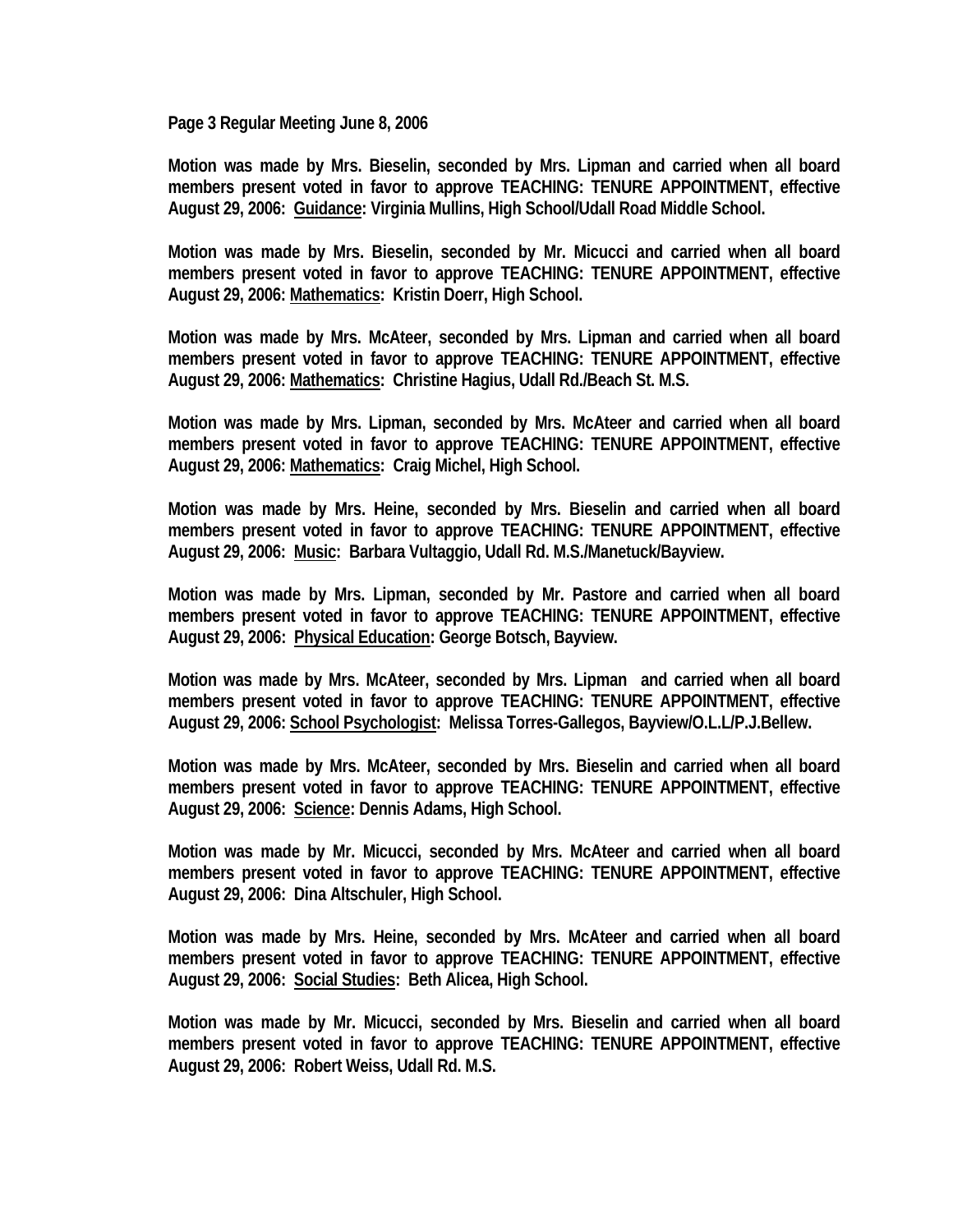**Page 3 Regular Meeting June 8, 2006** 

**Motion was made by Mrs. Bieselin, seconded by Mrs. Lipman and carried when all board members present voted in favor to approve TEACHING: TENURE APPOINTMENT, effective August 29, 2006: Guidance: Virginia Mullins, High School/Udall Road Middle School.** 

**Motion was made by Mrs. Bieselin, seconded by Mr. Micucci and carried when all board members present voted in favor to approve TEACHING: TENURE APPOINTMENT, effective August 29, 2006: Mathematics: Kristin Doerr, High School.** 

**Motion was made by Mrs. McAteer, seconded by Mrs. Lipman and carried when all board members present voted in favor to approve TEACHING: TENURE APPOINTMENT, effective August 29, 2006: Mathematics: Christine Hagius, Udall Rd./Beach St. M.S.** 

**Motion was made by Mrs. Lipman, seconded by Mrs. McAteer and carried when all board members present voted in favor to approve TEACHING: TENURE APPOINTMENT, effective August 29, 2006: Mathematics: Craig Michel, High School.** 

**Motion was made by Mrs. Heine, seconded by Mrs. Bieselin and carried when all board members present voted in favor to approve TEACHING: TENURE APPOINTMENT, effective August 29, 2006: Music: Barbara Vultaggio, Udall Rd. M.S./Manetuck/Bayview.** 

**Motion was made by Mrs. Lipman, seconded by Mr. Pastore and carried when all board members present voted in favor to approve TEACHING: TENURE APPOINTMENT, effective August 29, 2006: Physical Education: George Botsch, Bayview.** 

**Motion was made by Mrs. McAteer, seconded by Mrs. Lipman and carried when all board members present voted in favor to approve TEACHING: TENURE APPOINTMENT, effective August 29, 2006: School Psychologist: Melissa Torres-Gallegos, Bayview/O.L.L/P.J.Bellew.** 

**Motion was made by Mrs. McAteer, seconded by Mrs. Bieselin and carried when all board members present voted in favor to approve TEACHING: TENURE APPOINTMENT, effective August 29, 2006: Science: Dennis Adams, High School.** 

**Motion was made by Mr. Micucci, seconded by Mrs. McAteer and carried when all board members present voted in favor to approve TEACHING: TENURE APPOINTMENT, effective August 29, 2006: Dina Altschuler, High School.** 

**Motion was made by Mrs. Heine, seconded by Mrs. McAteer and carried when all board members present voted in favor to approve TEACHING: TENURE APPOINTMENT, effective August 29, 2006: Social Studies: Beth Alicea, High School.** 

**Motion was made by Mr. Micucci, seconded by Mrs. Bieselin and carried when all board members present voted in favor to approve TEACHING: TENURE APPOINTMENT, effective August 29, 2006: Robert Weiss, Udall Rd. M.S.**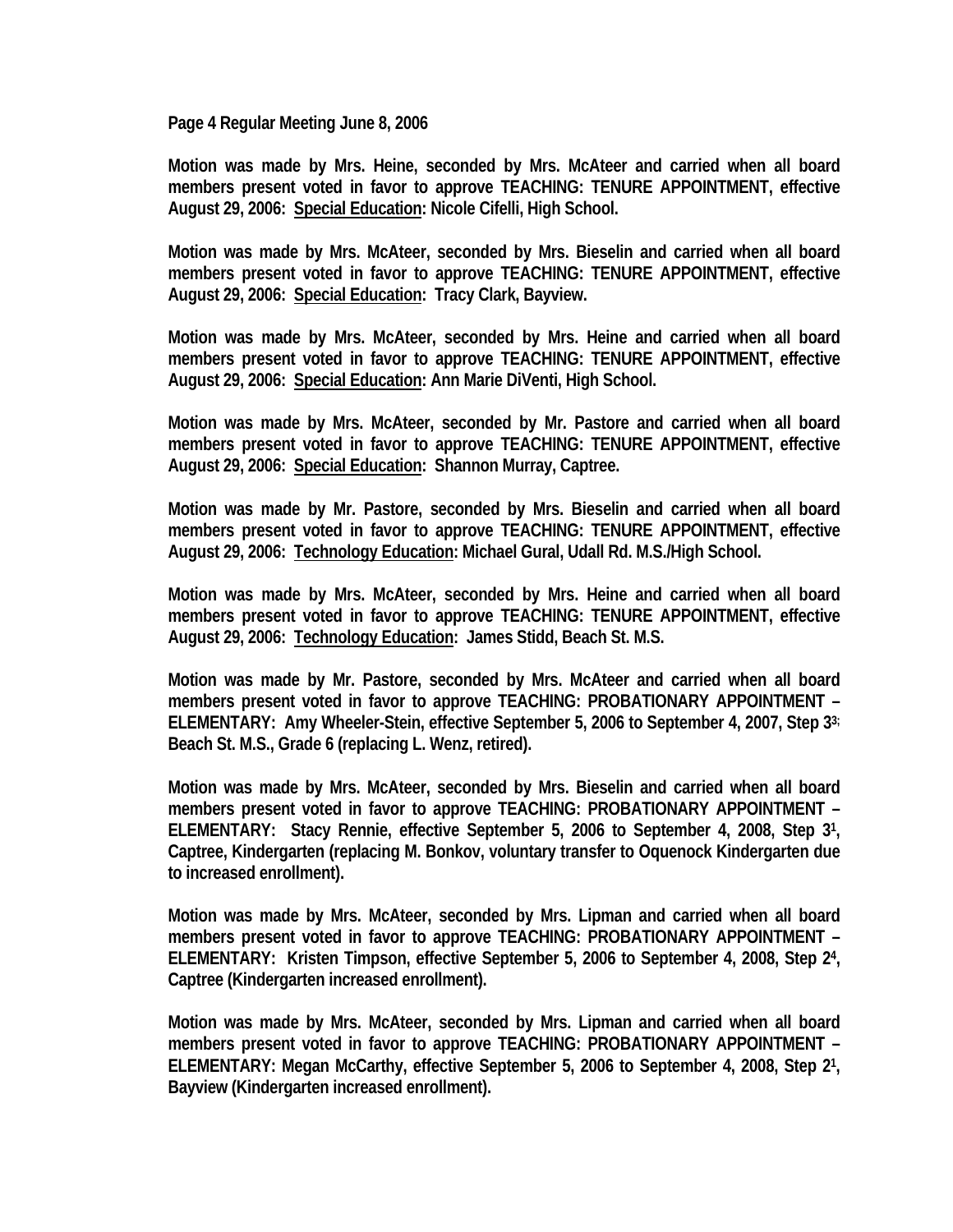**Page 4 Regular Meeting June 8, 2006** 

**Motion was made by Mrs. Heine, seconded by Mrs. McAteer and carried when all board members present voted in favor to approve TEACHING: TENURE APPOINTMENT, effective August 29, 2006: Special Education: Nicole Cifelli, High School.** 

**Motion was made by Mrs. McAteer, seconded by Mrs. Bieselin and carried when all board members present voted in favor to approve TEACHING: TENURE APPOINTMENT, effective August 29, 2006: Special Education: Tracy Clark, Bayview.** 

**Motion was made by Mrs. McAteer, seconded by Mrs. Heine and carried when all board members present voted in favor to approve TEACHING: TENURE APPOINTMENT, effective August 29, 2006: Special Education: Ann Marie DiVenti, High School.** 

**Motion was made by Mrs. McAteer, seconded by Mr. Pastore and carried when all board members present voted in favor to approve TEACHING: TENURE APPOINTMENT, effective August 29, 2006: Special Education: Shannon Murray, Captree.** 

**Motion was made by Mr. Pastore, seconded by Mrs. Bieselin and carried when all board members present voted in favor to approve TEACHING: TENURE APPOINTMENT, effective August 29, 2006: Technology Education: Michael Gural, Udall Rd. M.S./High School.** 

**Motion was made by Mrs. McAteer, seconded by Mrs. Heine and carried when all board members present voted in favor to approve TEACHING: TENURE APPOINTMENT, effective August 29, 2006: Technology Education: James Stidd, Beach St. M.S.** 

**Motion was made by Mr. Pastore, seconded by Mrs. McAteer and carried when all board members present voted in favor to approve TEACHING: PROBATIONARY APPOINTMENT – ELEMENTARY: Amy Wheeler-Stein, effective September 5, 2006 to September 4, 2007, Step 33; Beach St. M.S., Grade 6 (replacing L. Wenz, retired).** 

**Motion was made by Mrs. McAteer, seconded by Mrs. Bieselin and carried when all board members present voted in favor to approve TEACHING: PROBATIONARY APPOINTMENT – ELEMENTARY: Stacy Rennie, effective September 5, 2006 to September 4, 2008, Step 31, Captree, Kindergarten (replacing M. Bonkov, voluntary transfer to Oquenock Kindergarten due to increased enrollment).** 

**Motion was made by Mrs. McAteer, seconded by Mrs. Lipman and carried when all board members present voted in favor to approve TEACHING: PROBATIONARY APPOINTMENT – ELEMENTARY: Kristen Timpson, effective September 5, 2006 to September 4, 2008, Step 24, Captree (Kindergarten increased enrollment).** 

**Motion was made by Mrs. McAteer, seconded by Mrs. Lipman and carried when all board members present voted in favor to approve TEACHING: PROBATIONARY APPOINTMENT – ELEMENTARY: Megan McCarthy, effective September 5, 2006 to September 4, 2008, Step 21, Bayview (Kindergarten increased enrollment).**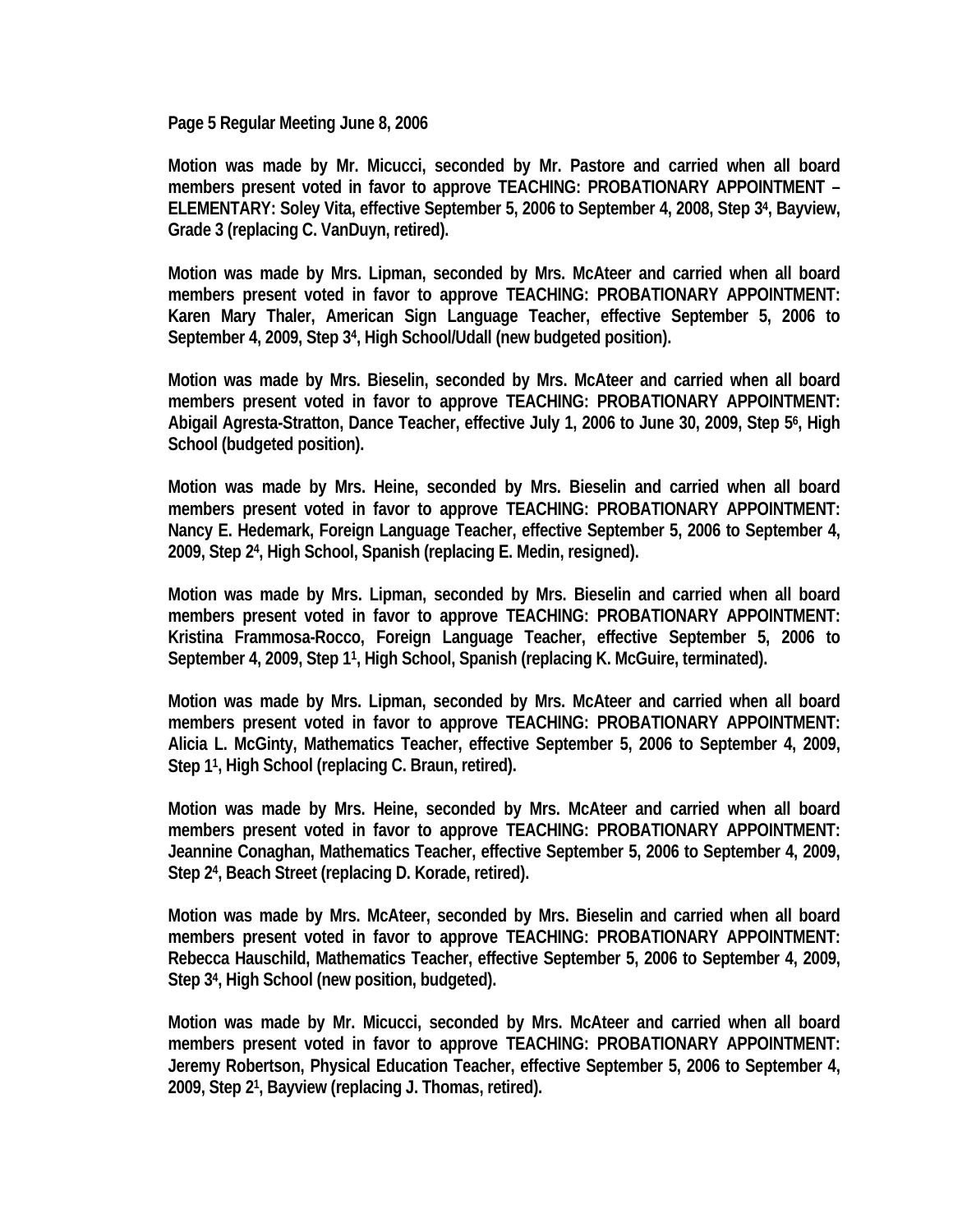**Page 5 Regular Meeting June 8, 2006** 

**Motion was made by Mr. Micucci, seconded by Mr. Pastore and carried when all board members present voted in favor to approve TEACHING: PROBATIONARY APPOINTMENT – ELEMENTARY: Soley Vita, effective September 5, 2006 to September 4, 2008, Step 34, Bayview, Grade 3 (replacing C. VanDuyn, retired).** 

**Motion was made by Mrs. Lipman, seconded by Mrs. McAteer and carried when all board members present voted in favor to approve TEACHING: PROBATIONARY APPOINTMENT: Karen Mary Thaler, American Sign Language Teacher, effective September 5, 2006 to September 4, 2009, Step 34, High School/Udall (new budgeted position).** 

**Motion was made by Mrs. Bieselin, seconded by Mrs. McAteer and carried when all board members present voted in favor to approve TEACHING: PROBATIONARY APPOINTMENT: Abigail Agresta-Stratton, Dance Teacher, effective July 1, 2006 to June 30, 2009, Step 56, High School (budgeted position).** 

**Motion was made by Mrs. Heine, seconded by Mrs. Bieselin and carried when all board members present voted in favor to approve TEACHING: PROBATIONARY APPOINTMENT: Nancy E. Hedemark, Foreign Language Teacher, effective September 5, 2006 to September 4, 2009, Step 24, High School, Spanish (replacing E. Medin, resigned).** 

**Motion was made by Mrs. Lipman, seconded by Mrs. Bieselin and carried when all board members present voted in favor to approve TEACHING: PROBATIONARY APPOINTMENT: Kristina Frammosa-Rocco, Foreign Language Teacher, effective September 5, 2006 to September 4, 2009, Step 11, High School, Spanish (replacing K. McGuire, terminated).** 

**Motion was made by Mrs. Lipman, seconded by Mrs. McAteer and carried when all board members present voted in favor to approve TEACHING: PROBATIONARY APPOINTMENT: Alicia L. McGinty, Mathematics Teacher, effective September 5, 2006 to September 4, 2009, Step 11, High School (replacing C. Braun, retired).** 

**Motion was made by Mrs. Heine, seconded by Mrs. McAteer and carried when all board members present voted in favor to approve TEACHING: PROBATIONARY APPOINTMENT: Jeannine Conaghan, Mathematics Teacher, effective September 5, 2006 to September 4, 2009, Step 24, Beach Street (replacing D. Korade, retired).** 

**Motion was made by Mrs. McAteer, seconded by Mrs. Bieselin and carried when all board members present voted in favor to approve TEACHING: PROBATIONARY APPOINTMENT: Rebecca Hauschild, Mathematics Teacher, effective September 5, 2006 to September 4, 2009, Step 34, High School (new position, budgeted).** 

**Motion was made by Mr. Micucci, seconded by Mrs. McAteer and carried when all board members present voted in favor to approve TEACHING: PROBATIONARY APPOINTMENT: Jeremy Robertson, Physical Education Teacher, effective September 5, 2006 to September 4, 2009, Step 21, Bayview (replacing J. Thomas, retired).**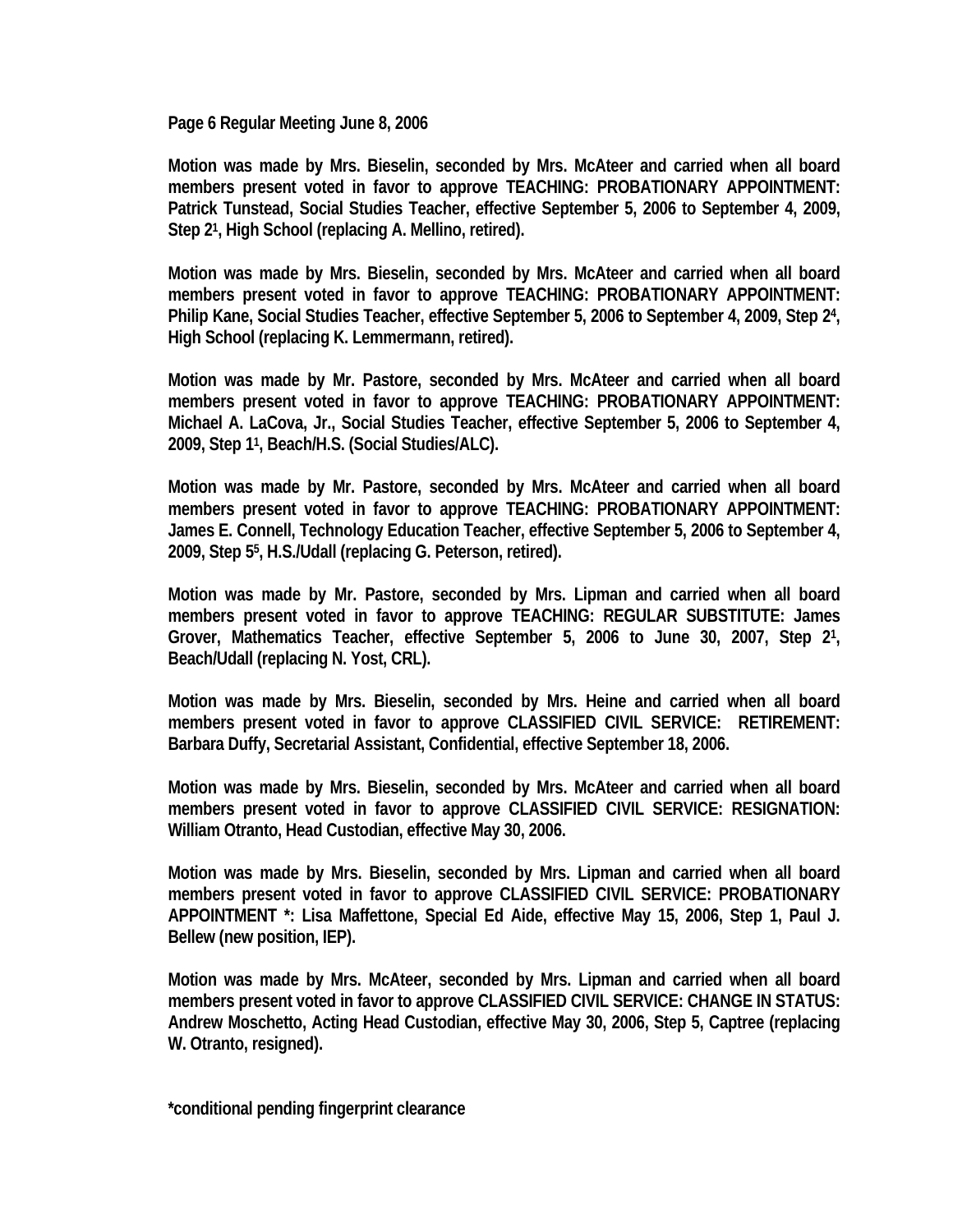**Page 6 Regular Meeting June 8, 2006** 

**Motion was made by Mrs. Bieselin, seconded by Mrs. McAteer and carried when all board members present voted in favor to approve TEACHING: PROBATIONARY APPOINTMENT: Patrick Tunstead, Social Studies Teacher, effective September 5, 2006 to September 4, 2009, Step 21, High School (replacing A. Mellino, retired).** 

**Motion was made by Mrs. Bieselin, seconded by Mrs. McAteer and carried when all board members present voted in favor to approve TEACHING: PROBATIONARY APPOINTMENT: Philip Kane, Social Studies Teacher, effective September 5, 2006 to September 4, 2009, Step 24, High School (replacing K. Lemmermann, retired).** 

**Motion was made by Mr. Pastore, seconded by Mrs. McAteer and carried when all board members present voted in favor to approve TEACHING: PROBATIONARY APPOINTMENT: Michael A. LaCova, Jr., Social Studies Teacher, effective September 5, 2006 to September 4, 2009, Step 11, Beach/H.S. (Social Studies/ALC).** 

**Motion was made by Mr. Pastore, seconded by Mrs. McAteer and carried when all board members present voted in favor to approve TEACHING: PROBATIONARY APPOINTMENT: James E. Connell, Technology Education Teacher, effective September 5, 2006 to September 4, 2009, Step 55, H.S./Udall (replacing G. Peterson, retired).** 

**Motion was made by Mr. Pastore, seconded by Mrs. Lipman and carried when all board members present voted in favor to approve TEACHING: REGULAR SUBSTITUTE: James Grover, Mathematics Teacher, effective September 5, 2006 to June 30, 2007, Step 21, Beach/Udall (replacing N. Yost, CRL).** 

**Motion was made by Mrs. Bieselin, seconded by Mrs. Heine and carried when all board members present voted in favor to approve CLASSIFIED CIVIL SERVICE: RETIREMENT: Barbara Duffy, Secretarial Assistant, Confidential, effective September 18, 2006.** 

**Motion was made by Mrs. Bieselin, seconded by Mrs. McAteer and carried when all board members present voted in favor to approve CLASSIFIED CIVIL SERVICE: RESIGNATION: William Otranto, Head Custodian, effective May 30, 2006.** 

**Motion was made by Mrs. Bieselin, seconded by Mrs. Lipman and carried when all board members present voted in favor to approve CLASSIFIED CIVIL SERVICE: PROBATIONARY APPOINTMENT \*: Lisa Maffettone, Special Ed Aide, effective May 15, 2006, Step 1, Paul J. Bellew (new position, IEP).** 

**Motion was made by Mrs. McAteer, seconded by Mrs. Lipman and carried when all board members present voted in favor to approve CLASSIFIED CIVIL SERVICE: CHANGE IN STATUS: Andrew Moschetto, Acting Head Custodian, effective May 30, 2006, Step 5, Captree (replacing W. Otranto, resigned).** 

**\*conditional pending fingerprint clearance**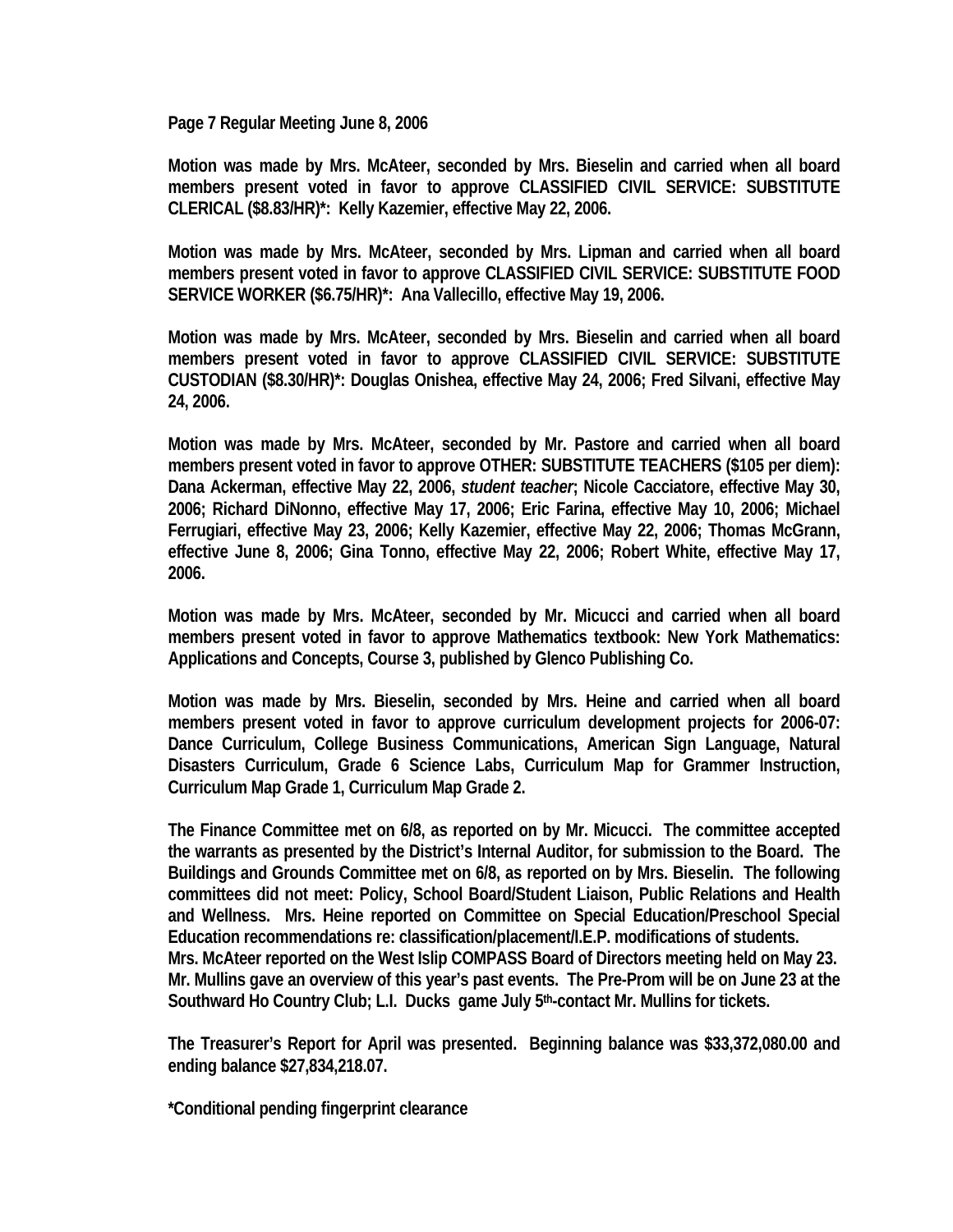**Page 7 Regular Meeting June 8, 2006** 

**Motion was made by Mrs. McAteer, seconded by Mrs. Bieselin and carried when all board members present voted in favor to approve CLASSIFIED CIVIL SERVICE: SUBSTITUTE CLERICAL (\$8.83/HR)\*: Kelly Kazemier, effective May 22, 2006.** 

**Motion was made by Mrs. McAteer, seconded by Mrs. Lipman and carried when all board members present voted in favor to approve CLASSIFIED CIVIL SERVICE: SUBSTITUTE FOOD SERVICE WORKER (\$6.75/HR)\*: Ana Vallecillo, effective May 19, 2006.** 

**Motion was made by Mrs. McAteer, seconded by Mrs. Bieselin and carried when all board members present voted in favor to approve CLASSIFIED CIVIL SERVICE: SUBSTITUTE CUSTODIAN (\$8.30/HR)\*: Douglas Onishea, effective May 24, 2006; Fred Silvani, effective May 24, 2006.** 

**Motion was made by Mrs. McAteer, seconded by Mr. Pastore and carried when all board members present voted in favor to approve OTHER: SUBSTITUTE TEACHERS (\$105 per diem): Dana Ackerman, effective May 22, 2006,** *student teacher***; Nicole Cacciatore, effective May 30, 2006; Richard DiNonno, effective May 17, 2006; Eric Farina, effective May 10, 2006; Michael Ferrugiari, effective May 23, 2006; Kelly Kazemier, effective May 22, 2006; Thomas McGrann, effective June 8, 2006; Gina Tonno, effective May 22, 2006; Robert White, effective May 17, 2006.** 

**Motion was made by Mrs. McAteer, seconded by Mr. Micucci and carried when all board members present voted in favor to approve Mathematics textbook: New York Mathematics: Applications and Concepts, Course 3, published by Glenco Publishing Co.** 

**Motion was made by Mrs. Bieselin, seconded by Mrs. Heine and carried when all board members present voted in favor to approve curriculum development projects for 2006-07: Dance Curriculum, College Business Communications, American Sign Language, Natural Disasters Curriculum, Grade 6 Science Labs, Curriculum Map for Grammer Instruction, Curriculum Map Grade 1, Curriculum Map Grade 2.** 

**The Finance Committee met on 6/8, as reported on by Mr. Micucci. The committee accepted the warrants as presented by the District's Internal Auditor, for submission to the Board. The Buildings and Grounds Committee met on 6/8, as reported on by Mrs. Bieselin. The following committees did not meet: Policy, School Board/Student Liaison, Public Relations and Health and Wellness. Mrs. Heine reported on Committee on Special Education/Preschool Special Education recommendations re: classification/placement/I.E.P. modifications of students. Mrs. McAteer reported on the West Islip COMPASS Board of Directors meeting held on May 23. Mr. Mullins gave an overview of this year's past events. The Pre-Prom will be on June 23 at the Southward Ho Country Club; L.I. Ducks game July 5th-contact Mr. Mullins for tickets.** 

**The Treasurer's Report for April was presented. Beginning balance was \$33,372,080.00 and ending balance \$27,834,218.07.** 

**\*Conditional pending fingerprint clearance**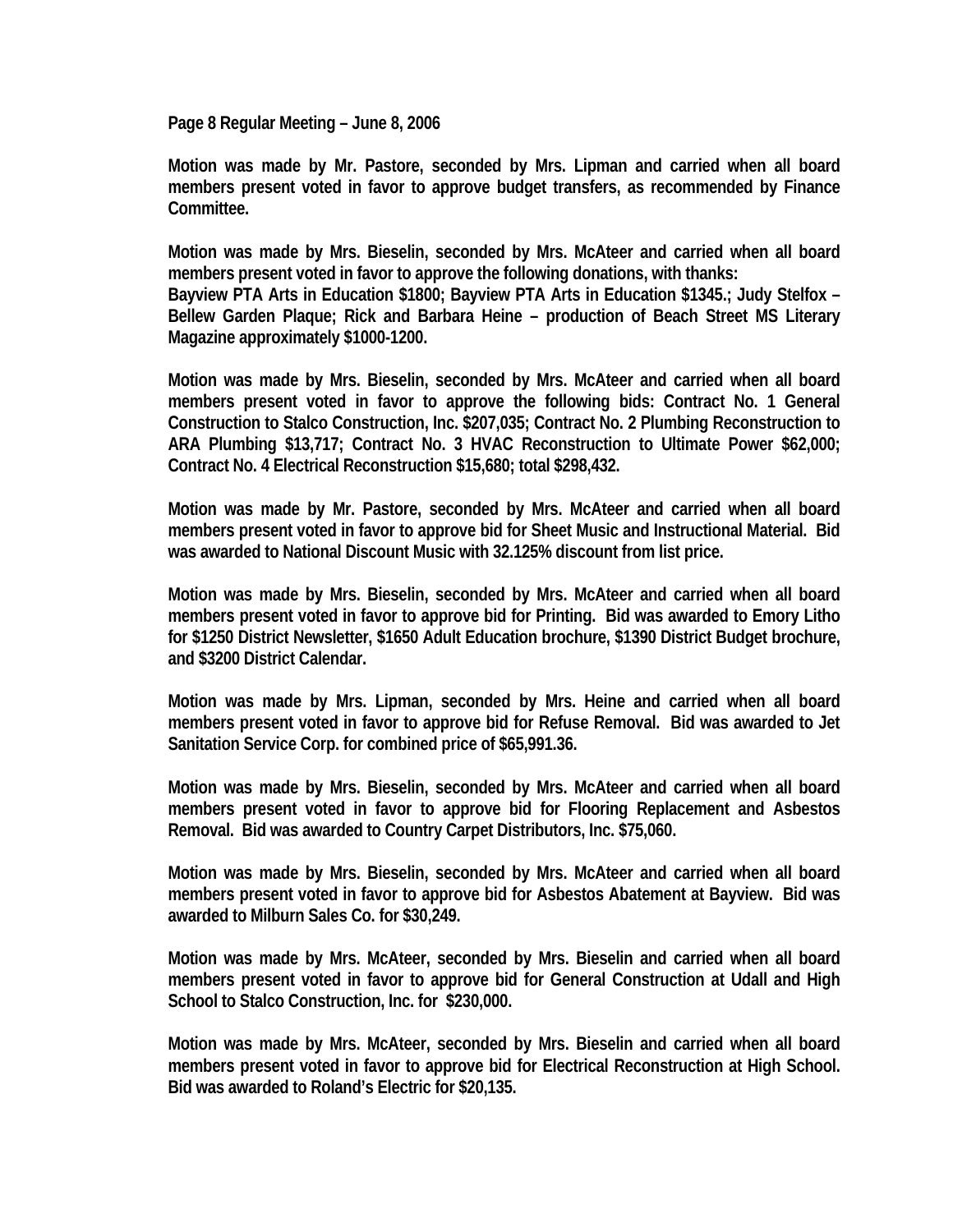**Page 8 Regular Meeting – June 8, 2006** 

**Motion was made by Mr. Pastore, seconded by Mrs. Lipman and carried when all board members present voted in favor to approve budget transfers, as recommended by Finance Committee.** 

**Motion was made by Mrs. Bieselin, seconded by Mrs. McAteer and carried when all board members present voted in favor to approve the following donations, with thanks: Bayview PTA Arts in Education \$1800; Bayview PTA Arts in Education \$1345.; Judy Stelfox – Bellew Garden Plaque; Rick and Barbara Heine – production of Beach Street MS Literary Magazine approximately \$1000-1200.** 

**Motion was made by Mrs. Bieselin, seconded by Mrs. McAteer and carried when all board members present voted in favor to approve the following bids: Contract No. 1 General Construction to Stalco Construction, Inc. \$207,035; Contract No. 2 Plumbing Reconstruction to ARA Plumbing \$13,717; Contract No. 3 HVAC Reconstruction to Ultimate Power \$62,000; Contract No. 4 Electrical Reconstruction \$15,680; total \$298,432.** 

**Motion was made by Mr. Pastore, seconded by Mrs. McAteer and carried when all board members present voted in favor to approve bid for Sheet Music and Instructional Material. Bid was awarded to National Discount Music with 32.125% discount from list price.** 

**Motion was made by Mrs. Bieselin, seconded by Mrs. McAteer and carried when all board members present voted in favor to approve bid for Printing. Bid was awarded to Emory Litho for \$1250 District Newsletter, \$1650 Adult Education brochure, \$1390 District Budget brochure, and \$3200 District Calendar.** 

**Motion was made by Mrs. Lipman, seconded by Mrs. Heine and carried when all board members present voted in favor to approve bid for Refuse Removal. Bid was awarded to Jet Sanitation Service Corp. for combined price of \$65,991.36.** 

**Motion was made by Mrs. Bieselin, seconded by Mrs. McAteer and carried when all board members present voted in favor to approve bid for Flooring Replacement and Asbestos Removal. Bid was awarded to Country Carpet Distributors, Inc. \$75,060.** 

**Motion was made by Mrs. Bieselin, seconded by Mrs. McAteer and carried when all board members present voted in favor to approve bid for Asbestos Abatement at Bayview. Bid was awarded to Milburn Sales Co. for \$30,249.** 

**Motion was made by Mrs. McAteer, seconded by Mrs. Bieselin and carried when all board members present voted in favor to approve bid for General Construction at Udall and High School to Stalco Construction, Inc. for \$230,000.** 

**Motion was made by Mrs. McAteer, seconded by Mrs. Bieselin and carried when all board members present voted in favor to approve bid for Electrical Reconstruction at High School. Bid was awarded to Roland's Electric for \$20,135.**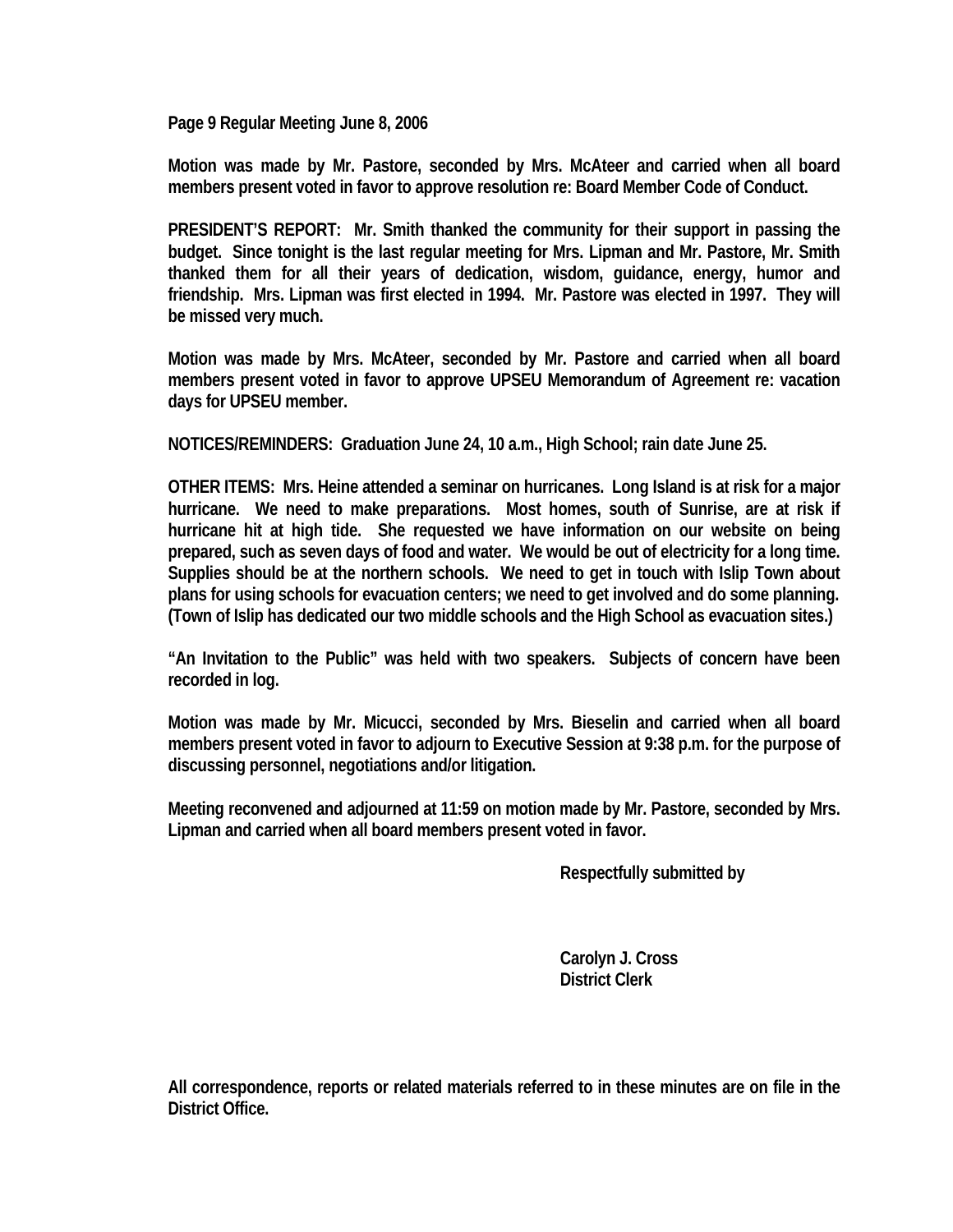**Page 9 Regular Meeting June 8, 2006** 

**Motion was made by Mr. Pastore, seconded by Mrs. McAteer and carried when all board members present voted in favor to approve resolution re: Board Member Code of Conduct.** 

**PRESIDENT'S REPORT: Mr. Smith thanked the community for their support in passing the budget. Since tonight is the last regular meeting for Mrs. Lipman and Mr. Pastore, Mr. Smith thanked them for all their years of dedication, wisdom, guidance, energy, humor and friendship. Mrs. Lipman was first elected in 1994. Mr. Pastore was elected in 1997. They will be missed very much.** 

**Motion was made by Mrs. McAteer, seconded by Mr. Pastore and carried when all board members present voted in favor to approve UPSEU Memorandum of Agreement re: vacation days for UPSEU member.** 

**NOTICES/REMINDERS: Graduation June 24, 10 a.m., High School; rain date June 25.** 

**OTHER ITEMS: Mrs. Heine attended a seminar on hurricanes. Long Island is at risk for a major hurricane. We need to make preparations. Most homes, south of Sunrise, are at risk if hurricane hit at high tide. She requested we have information on our website on being prepared, such as seven days of food and water. We would be out of electricity for a long time. Supplies should be at the northern schools. We need to get in touch with Islip Town about plans for using schools for evacuation centers; we need to get involved and do some planning. (Town of Islip has dedicated our two middle schools and the High School as evacuation sites.)** 

**"An Invitation to the Public" was held with two speakers. Subjects of concern have been recorded in log.** 

**Motion was made by Mr. Micucci, seconded by Mrs. Bieselin and carried when all board members present voted in favor to adjourn to Executive Session at 9:38 p.m. for the purpose of discussing personnel, negotiations and/or litigation.** 

**Meeting reconvened and adjourned at 11:59 on motion made by Mr. Pastore, seconded by Mrs. Lipman and carried when all board members present voted in favor.** 

 **Respectfully submitted by** 

 **Carolyn J. Cross District Clerk** 

**All correspondence, reports or related materials referred to in these minutes are on file in the District Office.**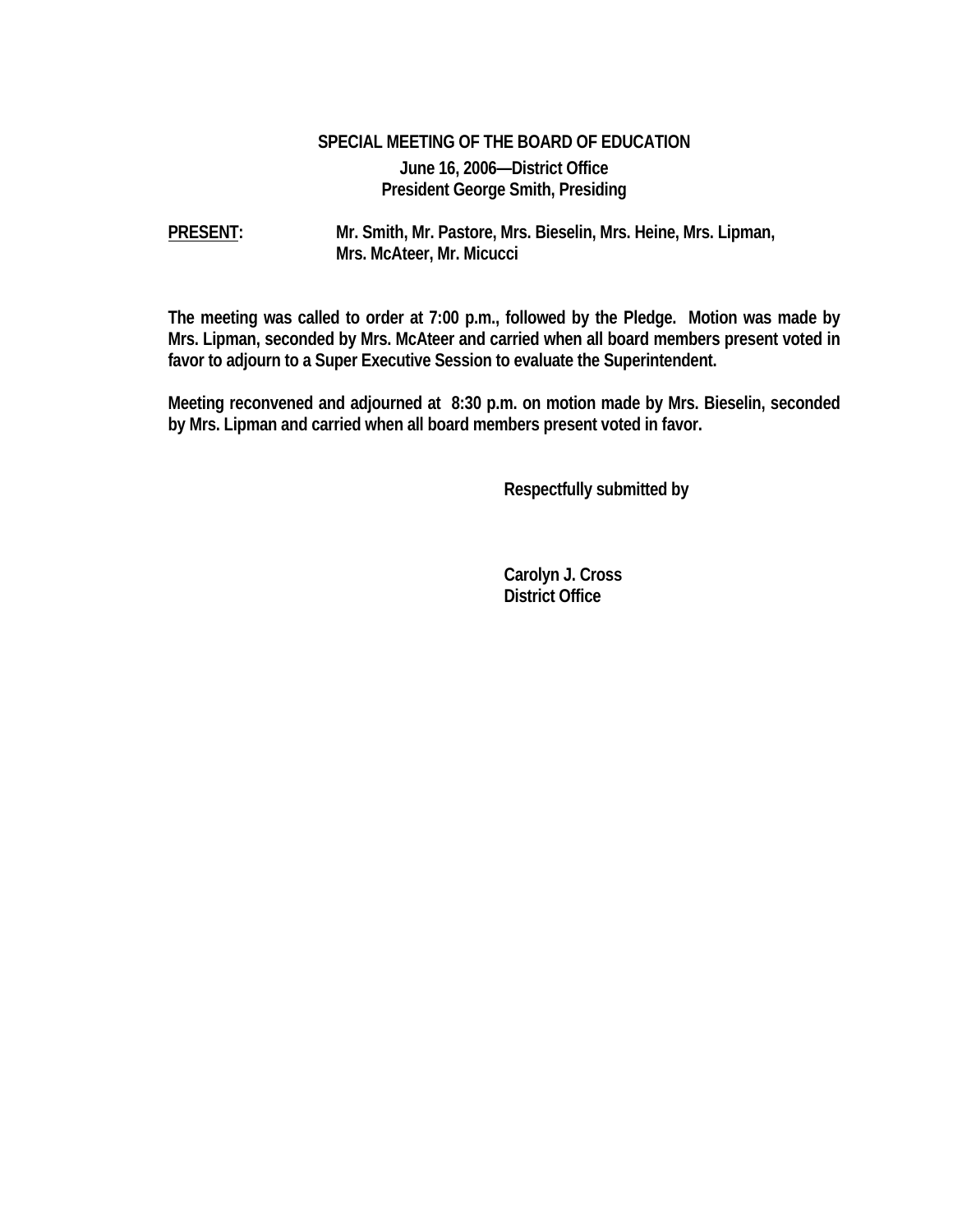## **SPECIAL MEETING OF THE BOARD OF EDUCATION June 16, 2006—District Office President George Smith, Presiding**

**PRESENT: Mr. Smith, Mr. Pastore, Mrs. Bieselin, Mrs. Heine, Mrs. Lipman, Mrs. McAteer, Mr. Micucci** 

**The meeting was called to order at 7:00 p.m., followed by the Pledge. Motion was made by Mrs. Lipman, seconded by Mrs. McAteer and carried when all board members present voted in favor to adjourn to a Super Executive Session to evaluate the Superintendent.** 

**Meeting reconvened and adjourned at 8:30 p.m. on motion made by Mrs. Bieselin, seconded by Mrs. Lipman and carried when all board members present voted in favor.** 

 **Respectfully submitted by** 

 **Carolyn J. Cross District Office**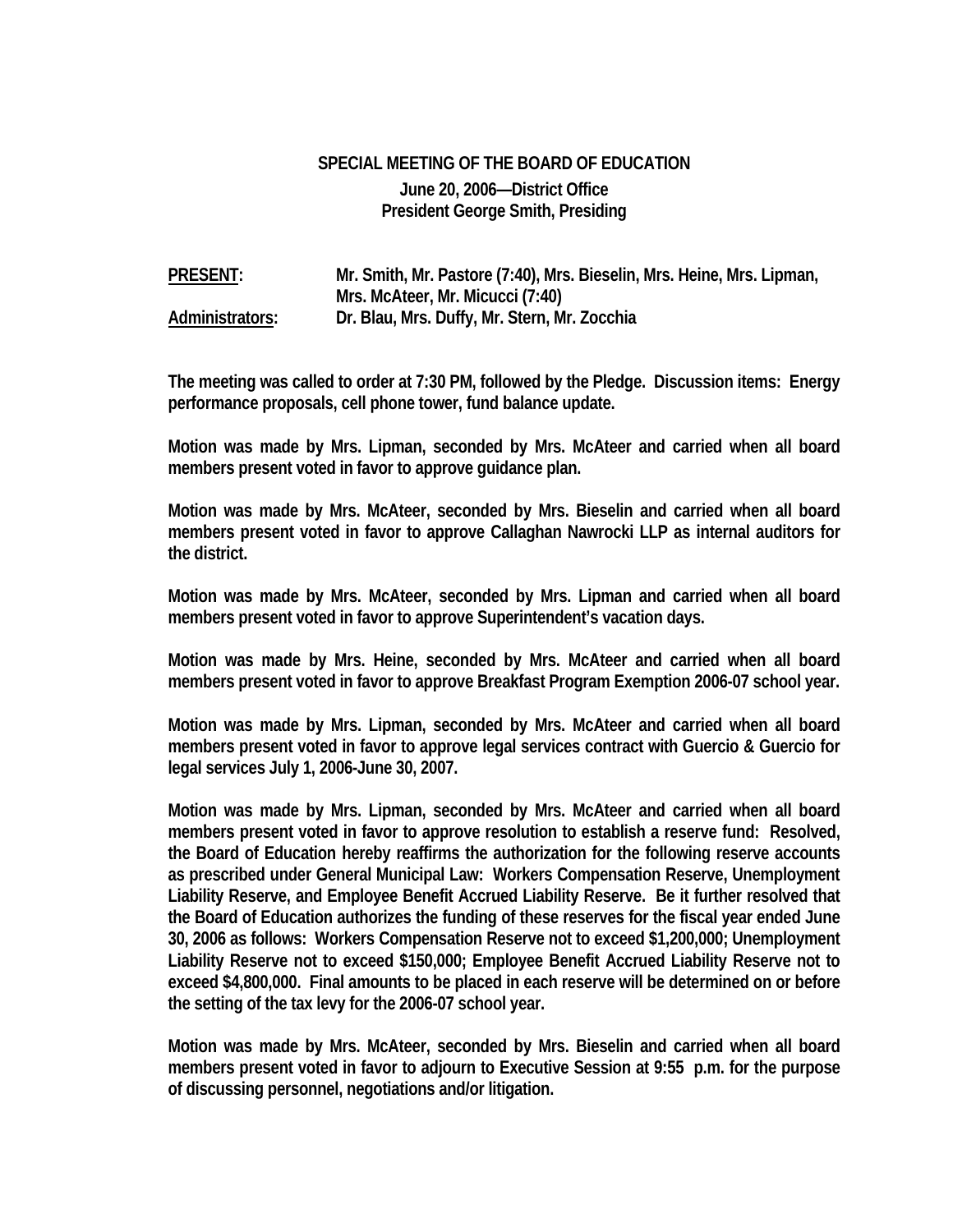## **SPECIAL MEETING OF THE BOARD OF EDUCATION June 20, 2006—District Office President George Smith, Presiding**

**PRESENT: Mr. Smith, Mr. Pastore (7:40), Mrs. Bieselin, Mrs. Heine, Mrs. Lipman, Mrs. McAteer, Mr. Micucci (7:40) Administrators: Dr. Blau, Mrs. Duffy, Mr. Stern, Mr. Zocchia** 

**The meeting was called to order at 7:30 PM, followed by the Pledge. Discussion items: Energy performance proposals, cell phone tower, fund balance update.** 

**Motion was made by Mrs. Lipman, seconded by Mrs. McAteer and carried when all board members present voted in favor to approve guidance plan.** 

**Motion was made by Mrs. McAteer, seconded by Mrs. Bieselin and carried when all board members present voted in favor to approve Callaghan Nawrocki LLP as internal auditors for the district.** 

**Motion was made by Mrs. McAteer, seconded by Mrs. Lipman and carried when all board members present voted in favor to approve Superintendent's vacation days.** 

**Motion was made by Mrs. Heine, seconded by Mrs. McAteer and carried when all board members present voted in favor to approve Breakfast Program Exemption 2006-07 school year.** 

**Motion was made by Mrs. Lipman, seconded by Mrs. McAteer and carried when all board members present voted in favor to approve legal services contract with Guercio & Guercio for legal services July 1, 2006-June 30, 2007.** 

**Motion was made by Mrs. Lipman, seconded by Mrs. McAteer and carried when all board members present voted in favor to approve resolution to establish a reserve fund: Resolved, the Board of Education hereby reaffirms the authorization for the following reserve accounts as prescribed under General Municipal Law: Workers Compensation Reserve, Unemployment Liability Reserve, and Employee Benefit Accrued Liability Reserve. Be it further resolved that the Board of Education authorizes the funding of these reserves for the fiscal year ended June 30, 2006 as follows: Workers Compensation Reserve not to exceed \$1,200,000; Unemployment Liability Reserve not to exceed \$150,000; Employee Benefit Accrued Liability Reserve not to exceed \$4,800,000. Final amounts to be placed in each reserve will be determined on or before the setting of the tax levy for the 2006-07 school year.** 

**Motion was made by Mrs. McAteer, seconded by Mrs. Bieselin and carried when all board members present voted in favor to adjourn to Executive Session at 9:55 p.m. for the purpose of discussing personnel, negotiations and/or litigation.**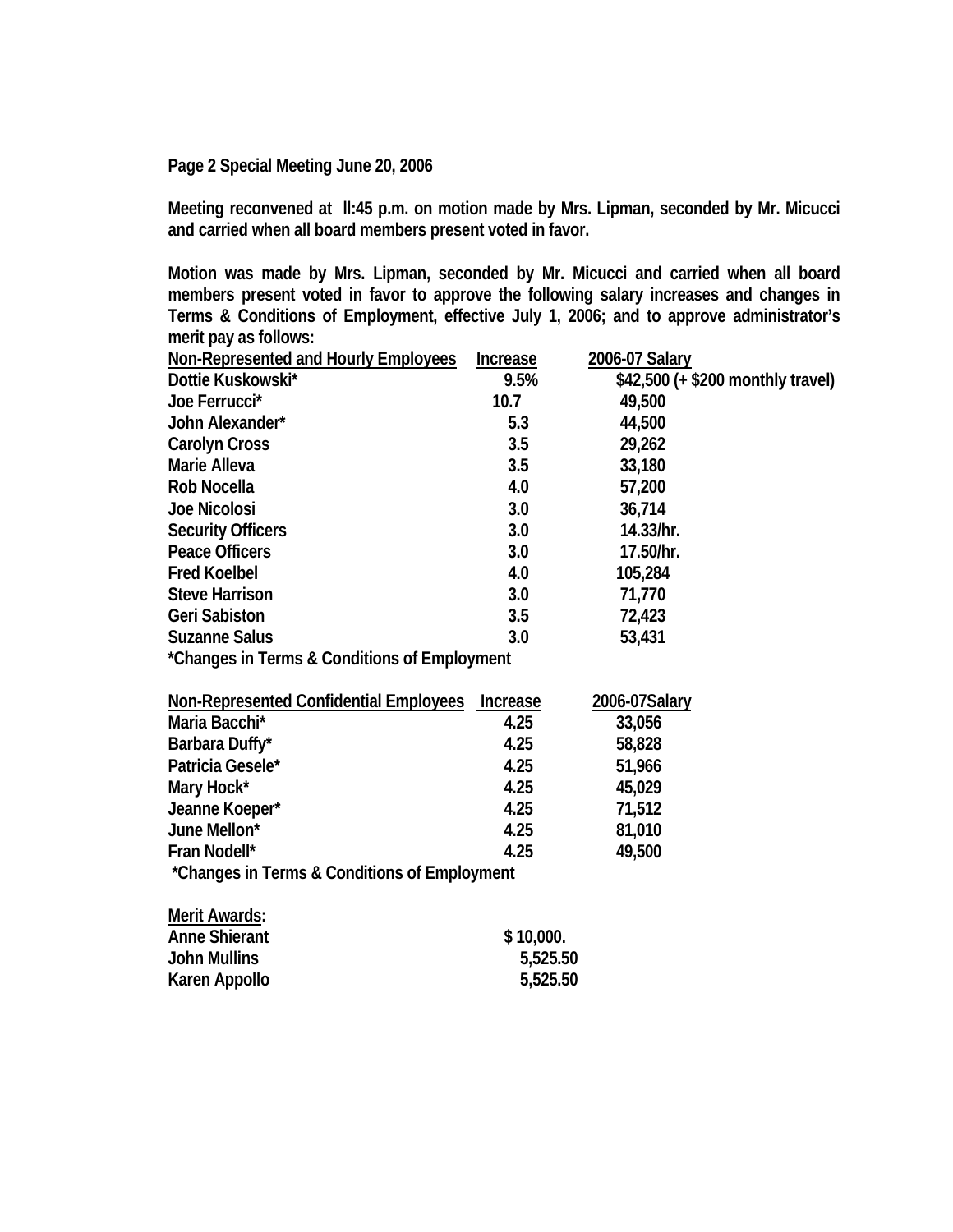**Page 2 Special Meeting June 20, 2006** 

**Meeting reconvened at ll:45 p.m. on motion made by Mrs. Lipman, seconded by Mr. Micucci and carried when all board members present voted in favor.** 

**Motion was made by Mrs. Lipman, seconded by Mr. Micucci and carried when all board members present voted in favor to approve the following salary increases and changes in Terms & Conditions of Employment, effective July 1, 2006; and to approve administrator's merit pay as follows:** 

| Non-Represented and Hourly Employees         | <b>Increase</b> | 2006-07 Salary                    |  |  |  |
|----------------------------------------------|-----------------|-----------------------------------|--|--|--|
| Dottie Kuskowski*                            | 9.5%            | \$42,500 (+ \$200 monthly travel) |  |  |  |
| Joe Ferrucci*                                | 10.7            | 49,500                            |  |  |  |
| John Alexander*                              | 5.3             | 44,500                            |  |  |  |
| <b>Carolyn Cross</b>                         | 3.5             | 29,262                            |  |  |  |
| Marie Alleva                                 | 3.5             | 33,180                            |  |  |  |
| Rob Nocella                                  | 4.0             | 57,200                            |  |  |  |
| <b>Joe Nicolosi</b>                          | 3.0             | 36,714                            |  |  |  |
| <b>Security Officers</b>                     | 3.0             | 14.33/hr.                         |  |  |  |
| <b>Peace Officers</b>                        | 3.0             | 17.50/hr.                         |  |  |  |
| <b>Fred Koelbel</b>                          | 4.0             | 105,284                           |  |  |  |
| <b>Steve Harrison</b>                        | 3.0             | 71,770                            |  |  |  |
| <b>Geri Sabiston</b>                         | 3.5             | 72,423                            |  |  |  |
| <b>Suzanne Salus</b>                         | 3.0             | 53,431                            |  |  |  |
| *Changes in Terms & Conditions of Employment |                 |                                   |  |  |  |

| Non-Represented Confidential Employees       | <b>Increase</b> | 2006-07Salary |  |  |
|----------------------------------------------|-----------------|---------------|--|--|
| Maria Bacchi*                                | 4.25            | 33,056        |  |  |
| Barbara Duffy*                               | 4.25            | 58,828        |  |  |
| Patricia Gesele*                             | 4.25            | 51,966        |  |  |
| Mary Hock*                                   | 4.25            | 45,029        |  |  |
| Jeanne Koeper*                               | 4.25            | 71,512        |  |  |
| June Mellon*                                 | 4.25            | 81,010        |  |  |
| Fran Nodell*                                 | 4.25            | 49,500        |  |  |
| *Changes in Terms & Conditions of Employment |                 |               |  |  |

| Merit Awards:        |           |
|----------------------|-----------|
| <b>Anne Shierant</b> | \$10,000. |
| <b>John Mullins</b>  | 5,525.50  |
| Karen Appollo        | 5,525.50  |